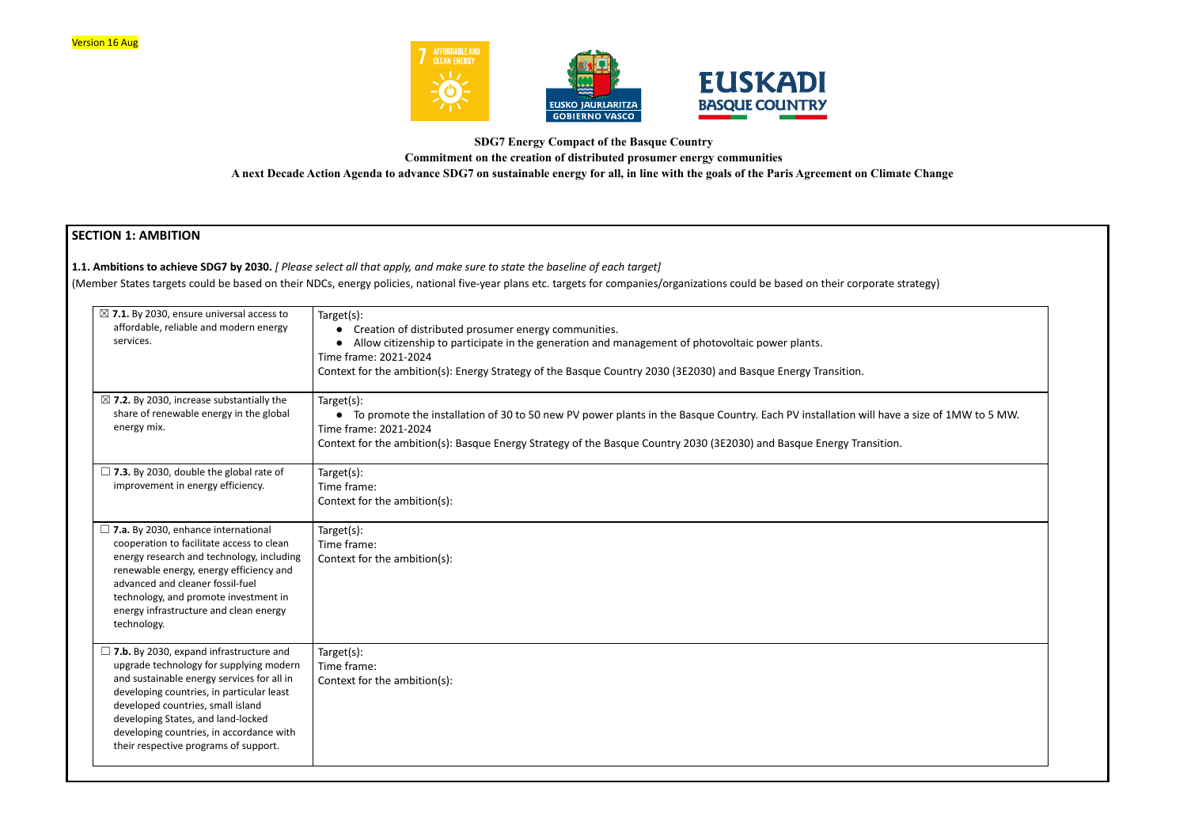



### **SDG7 Energy Compact of the Basque Country**

**Commitment on the creation of distributed prosumer energy communities**

**A next Decade Action Agenda to advance SDG7 on sustainable energy for all, in line with the goals of the Paris Agreement on Climate Change**

## **SECTION 1: AMBITION**

**1.1. Ambitions to achieve SDG7 by 2030.** *[ Please select all that apply, and make sure to state the baseline of each target]*

(Member States targets could be based on their NDCs, energy policies, national five-year plans etc. targets for companies/organizations could be based on their corporate

| $\boxtimes$ 7.1. By 2030, ensure universal access to<br>affordable, reliable and modern energy<br>services.                                                                                                                                                                                                                                          | Target(s):<br>Creation of distributed prosumer energy communities.<br>Allow citizenship to participate in the generation and management of photovoltaic power plants.<br>Time frame: 2021-2024<br>Context for the ambition(s): Energy Strategy of the Basque Country 2030 (3E2030) and Basque Energy Transition. |
|------------------------------------------------------------------------------------------------------------------------------------------------------------------------------------------------------------------------------------------------------------------------------------------------------------------------------------------------------|------------------------------------------------------------------------------------------------------------------------------------------------------------------------------------------------------------------------------------------------------------------------------------------------------------------|
| $\boxtimes$ 7.2. By 2030, increase substantially the<br>share of renewable energy in the global<br>energy mix.                                                                                                                                                                                                                                       | Target(s):<br>• To promote the installation of 30 to 50 new PV power plants in the Basque Country. Each PV installation will have a size of 1MW to 5 MW.<br>Time frame: 2021-2024<br>Context for the ambition(s): Basque Energy Strategy of the Basque Country 2030 (3E2030) and Basque Energy Transition.       |
| $\Box$ 7.3. By 2030, double the global rate of<br>improvement in energy efficiency.                                                                                                                                                                                                                                                                  | Target(s):<br>Time frame:<br>Context for the ambition(s):                                                                                                                                                                                                                                                        |
| $\Box$ 7.a. By 2030, enhance international<br>cooperation to facilitate access to clean<br>energy research and technology, including<br>renewable energy, energy efficiency and<br>advanced and cleaner fossil-fuel<br>technology, and promote investment in<br>energy infrastructure and clean energy<br>technology.                                | Target(s):<br>Time frame:<br>Context for the ambition(s):                                                                                                                                                                                                                                                        |
| $\Box$ 7.b. By 2030, expand infrastructure and<br>upgrade technology for supplying modern<br>and sustainable energy services for all in<br>developing countries, in particular least<br>developed countries, small island<br>developing States, and land-locked<br>developing countries, in accordance with<br>their respective programs of support. | Target(s):<br>Time frame:<br>Context for the ambition(s):                                                                                                                                                                                                                                                        |

| strategy)                |  |
|--------------------------|--|
|                          |  |
|                          |  |
| e a size of 1MW to 5 MW. |  |
| ı.                       |  |
|                          |  |
|                          |  |
|                          |  |
|                          |  |
|                          |  |
|                          |  |
|                          |  |
|                          |  |
|                          |  |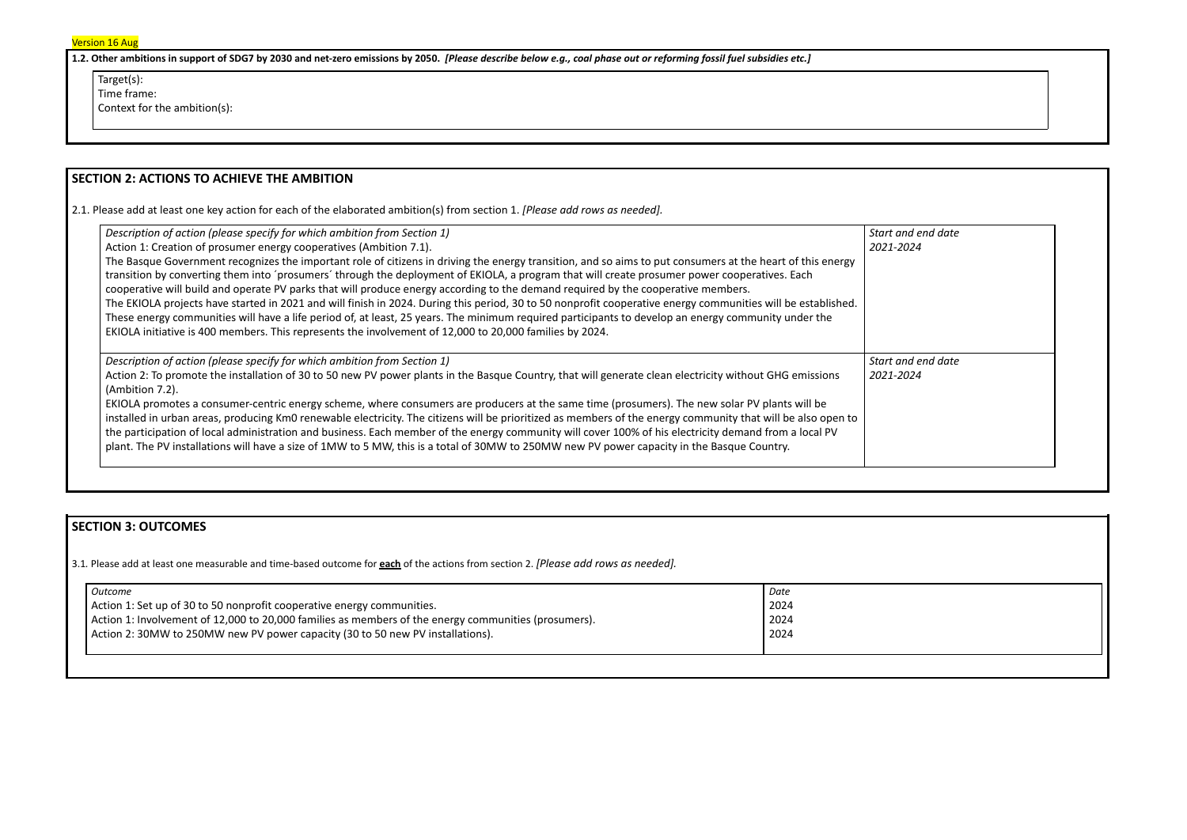1.2. Other ambitions in support of SDG7 by 2030 and net-zero emissions by 2050. [Please describe below e.g., coal phase out or reforming fossil fuel subsidies etc.]

Target(s):

Time frame:

Context for the ambition(s):

## **SECTION 2: ACTIONS TO ACHIEVE THE AMBITION**

2.1. Please add at least one key action for each of the elaborated ambition(s) from section 1. *[Please add rows as needed].*

| Description of action (please specify for which ambition from Section 1)                                                                                                                                                                                                                                                                                                                                                                                                                                                                                                                                                                                                                                                                                                                                                                                                           | Start a    |
|------------------------------------------------------------------------------------------------------------------------------------------------------------------------------------------------------------------------------------------------------------------------------------------------------------------------------------------------------------------------------------------------------------------------------------------------------------------------------------------------------------------------------------------------------------------------------------------------------------------------------------------------------------------------------------------------------------------------------------------------------------------------------------------------------------------------------------------------------------------------------------|------------|
| Action 1: Creation of prosumer energy cooperatives (Ambition 7.1).                                                                                                                                                                                                                                                                                                                                                                                                                                                                                                                                                                                                                                                                                                                                                                                                                 | $2021 - 2$ |
| The Basque Government recognizes the important role of citizens in driving the energy transition, and so aims to put consumers at the heart of this energy<br>transition by converting them into 'prosumers' through the deployment of EKIOLA, a program that will create prosumer power cooperatives. Each<br>cooperative will build and operate PV parks that will produce energy according to the demand required by the cooperative members.<br>The EKIOLA projects have started in 2021 and will finish in 2024. During this period, 30 to 50 nonprofit cooperative energy communities will be established.<br>These energy communities will have a life period of, at least, 25 years. The minimum required participants to develop an energy community under the<br>EKIOLA initiative is 400 members. This represents the involvement of 12,000 to 20,000 families by 2024. |            |
| Description of action (please specify for which ambition from Section 1)                                                                                                                                                                                                                                                                                                                                                                                                                                                                                                                                                                                                                                                                                                                                                                                                           | Start a    |
| Action 2: To promote the installation of 30 to 50 new PV power plants in the Basque Country, that will generate clean electricity without GHG emissions<br>(Ambition 7.2).                                                                                                                                                                                                                                                                                                                                                                                                                                                                                                                                                                                                                                                                                                         | $2021 - 2$ |
| EKIOLA promotes a consumer-centric energy scheme, where consumers are producers at the same time (prosumers). The new solar PV plants will be<br>installed in urban areas, producing KmO renewable electricity. The citizens will be prioritized as members of the energy community that will be also open to<br>the participation of local administration and business. Each member of the energy community will cover 100% of his electricity demand from a local PV<br>plant. The PV installations will have a size of 1MW to 5 MW, this is a total of 30MW to 250MW new PV power capacity in the Basque Country.                                                                                                                                                                                                                                                               |            |



## **SECTION 3: OUTCOMES**

3.1*.* Please add at least one measurable and time-based outcome for **each** of the actions from section 2. *[Please add rows as needed].*

| Outcome                                                                                              | Date |
|------------------------------------------------------------------------------------------------------|------|
| Action 1: Set up of 30 to 50 nonprofit cooperative energy communities.                               | 2024 |
| Action 1: Involvement of 12,000 to 20,000 families as members of the energy communities (prosumers). | 2024 |
| Action 2: 30MW to 250MW new PV power capacity (30 to 50 new PV installations).                       | 2024 |
|                                                                                                      |      |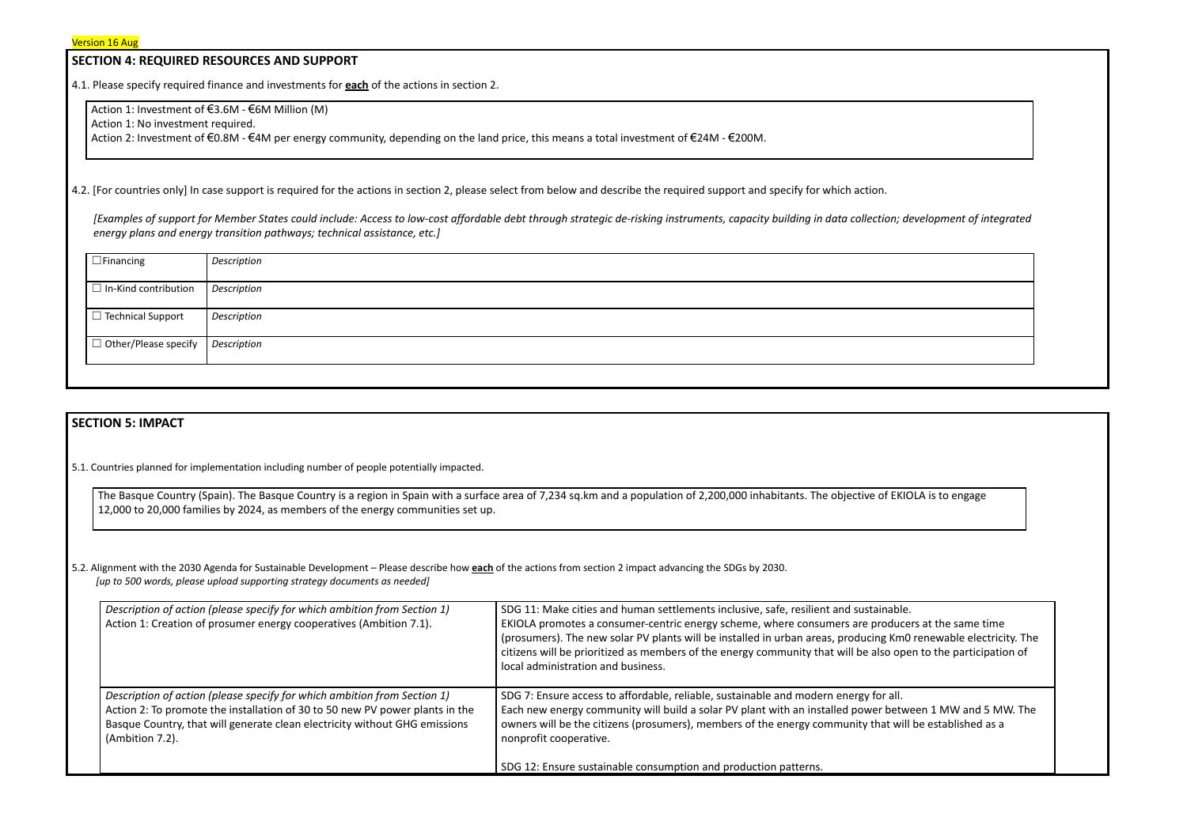#### **SECTION 4: REQUIRED RESOURCES AND SUPPORT**

4.1. Please specify required finance and investments for **each** of the actions in section 2.

Action 1: Investment of €3.6M - €6M Million (M)

Action 1: No investment required.

Action 2: Investment of €0.8M - €4M per energy community, depending on the land price, this means a total investment of €24M - €200M.

4.2. [For countries only] In case support is required for the actions in section 2, please select from below and describe the required support and specify for which action.

*[Examples of support for Member States could include: Access to low-cost affordable debt through strategic de-risking instruments, capacity building in data collection; development of integrated energy plans and energy transition pathways; technical assistance, etc.]*

| $\Box$ Financing                               | Description        |
|------------------------------------------------|--------------------|
|                                                |                    |
|                                                |                    |
|                                                |                    |
| $\Box$ In-Kind contribution                    | Description        |
|                                                |                    |
|                                                |                    |
|                                                |                    |
| $\Box$ Technical Support                       | <b>Description</b> |
|                                                |                    |
|                                                |                    |
|                                                |                    |
| $\Box$ Other/Please specify $\Box$ Description |                    |
|                                                |                    |
|                                                |                    |
|                                                |                    |
|                                                |                    |
|                                                |                    |

#### **SECTION 5: IMPACT**

5.1. Countries planned for implementation including number of people potentially impacted.

The Basque Country (Spain). The Basque Country is a region in Spain with a surface area of 7,234 sq.km and a population of 2,200,000 inhabitants. The objective of EKIOLA is to engage 12,000 to 20,000 families by 2024, as members of the energy communities set up.

5.2. Alignment with the 2030 Agenda for Sustainable Development – Please describe how **each** of the actions from section 2 impact advancing the SDGs by 2030. *[up to 500 words, please upload supporting strategy documents as needed]*

| Description of action (please specify for which ambition from Section 1)<br>Action 2: To promote the installation of 30 to 50 new PV power plants in the<br>Basque Country, that will generate clean electricity without GHG emissions<br>(Ambition 7.2).<br>nonprofit cooperative. | Description of action (please specify for which ambition from Section 1)<br>Action 1: Creation of prosumer energy cooperatives (Ambition 7.1). | SDG 11: Make cities and human settlements inclusive, safe, resilient and sustainable.<br>EKIOLA promotes a consumer-centric energy scheme, where consumers are produce<br>(prosumers). The new solar PV plants will be installed in urban areas, producing Km0<br>citizens will be prioritized as members of the energy community that will be also ope<br>local administration and business. |  |
|-------------------------------------------------------------------------------------------------------------------------------------------------------------------------------------------------------------------------------------------------------------------------------------|------------------------------------------------------------------------------------------------------------------------------------------------|-----------------------------------------------------------------------------------------------------------------------------------------------------------------------------------------------------------------------------------------------------------------------------------------------------------------------------------------------------------------------------------------------|--|
| SDG 12: Ensure sustainable consumption and production patterns.                                                                                                                                                                                                                     |                                                                                                                                                | SDG 7: Ensure access to affordable, reliable, sustainable and modern energy for all.<br>Each new energy community will build a solar PV plant with an installed power betwe<br>owners will be the citizens (prosumers), members of the energy community that will                                                                                                                             |  |

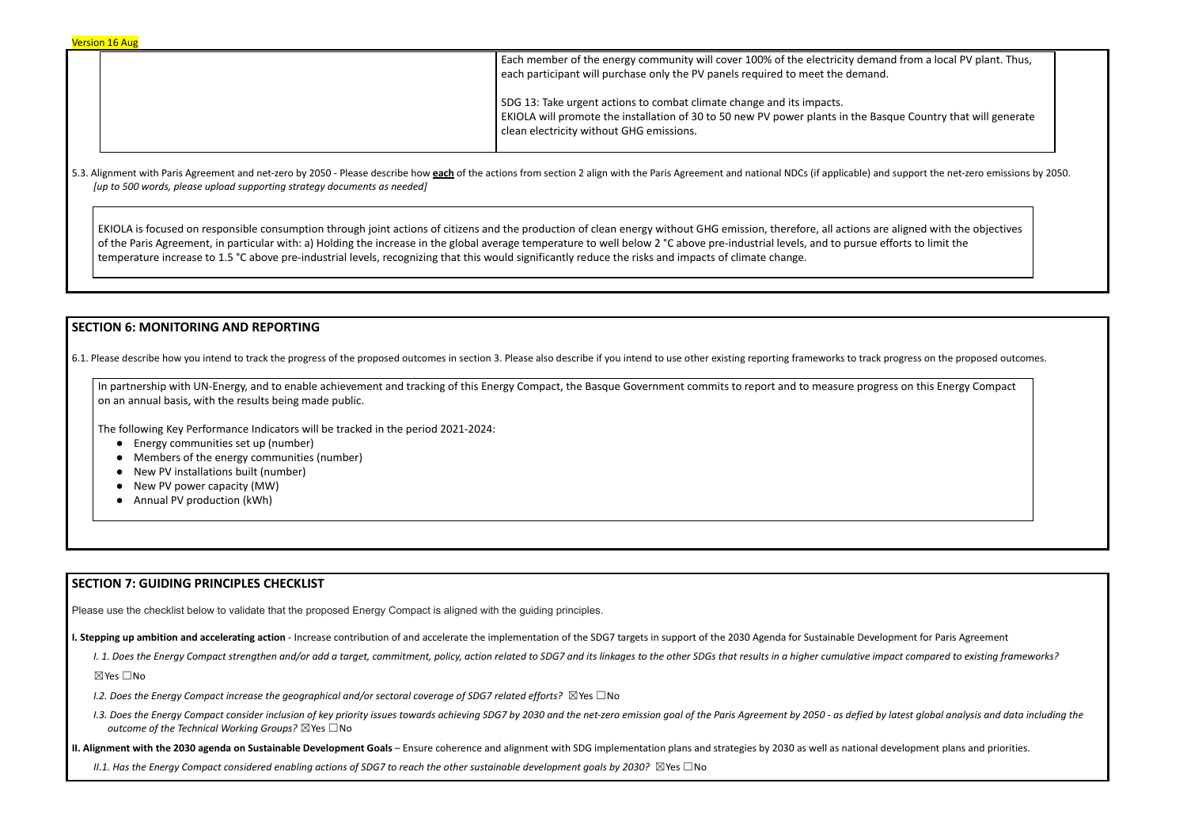Each member of the energy community will cover 100% of the electricity demand from a local PV plant. Thus, each participant will purchase only the PV panels required to meet the demand. SDG 13: Take urgent actions to combat climate change and its impacts. EKIOLA will promote the installation of 30 to 50 new PV power plants in the Basque Country that will generate clean electricity without GHG emissions.

5.3. Alignment with Paris Agreement and net-zero by 2050 - Please describe how each of the actions from section 2 align with the Paris Agreement and national NDCs (if applicable) and support the net-zero emissions by 2050. *[up to 500 words, please upload supporting strategy documents as needed]*

EKIOLA is focused on responsible consumption through joint actions of citizens and the production of clean energy without GHG emission, therefore, all actions are aligned with the objectives of the Paris Agreement, in particular with: a) Holding the increase in the global average temperature to well below 2 °C above pre-industrial levels, and to pursue efforts to limit the temperature increase to 1.5 °C above pre-industrial levels, recognizing that this would significantly reduce the risks and impacts of climate change.

### **SECTION 6: MONITORING AND REPORTING**

6.1. Please describe how you intend to track the progress of the proposed outcomes in section 3. Please also describe if you intend to use other existing reporting frameworks to track progress on the proposed outcomes.

1.3. Does the Energy Compact consider inclusion of key priority issues towards achieving SDG7 by 2030 and the net-zero emission goal of the Paris Agreement by 2050 - as defied by latest global analysis and data including t *outcome of the Technical Working Groups?* ☒Yes ☐No

II. Alignment with the 2030 agenda on Sustainable Development Goals – Ensure coherence and alignment with SDG implementation plans and strategies by 2030 as well as national development plans and priorities.

II.1. Has the Energy Compact considered enabling actions of SDG7 to reach the other sustainable development goals by 2030?  $\boxtimes$  Yes  $\Box$  No

In partnership with UN-Energy, and to enable achievement and tracking of this Energy Compact, the Basque Government commits to report and to measure progress on this Energy Compact on an annual basis, with the results being made public.

The following Key Performance Indicators will be tracked in the period 2021-2024:

- Energy communities set up (number)
- Members of the energy communities (number)
- New PV installations built (number)
- New PV power capacity (MW)
- Annual PV production (kWh)

#### **SECTION 7: GUIDING PRINCIPLES CHECKLIST**

Please use the checklist below to validate that the proposed Energy Compact is aligned with the guiding principles.

I. Stepping up ambition and accelerating action - Increase contribution of and accelerate the implementation of the SDG7 targets in support of the 2030 Agenda for Sustainable Development for Paris Agreement

I. 1. Does the Energy Compact strengthen and/or add a target, commitment, policy, action related to SDG7 and its linkages to the other SDGs that results in a higher cumulative impact compared to existing frameworks?

☒Yes ☐No

*I.2. Does the Energy Compact increase the geographical and/or sectoral coverage of SDG7 related efforts?* ☒Yes ☐No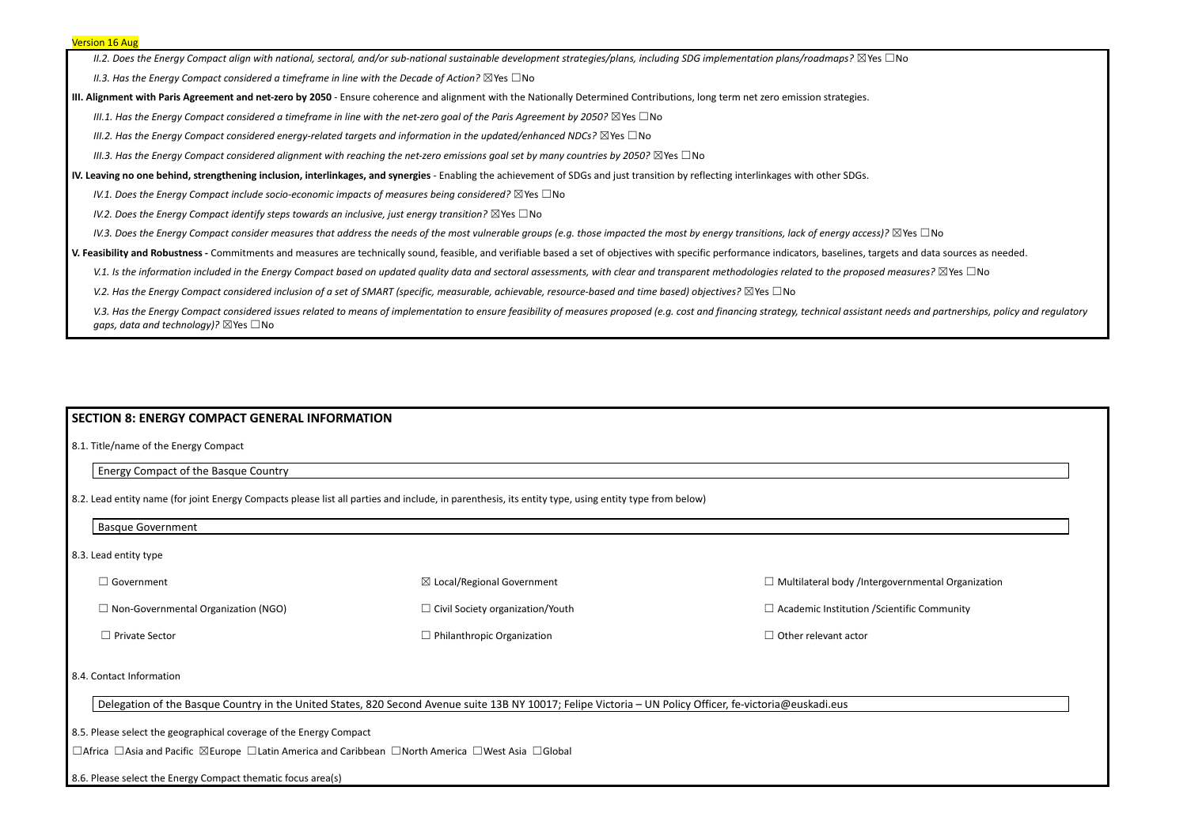II.2. Does the Energy Compact align with national, sectoral, and/or sub-national sustainable development strategies/plans, including SDG implementation plans/roadmaps?  $\boxtimes$ Yes  $\Box$ No

*II.3. Has the Energy Compact considered a timeframe in line with the Decade of Action?* ☒Yes ☐No

III. Alignment with Paris Agreement and net-zero by 2050 - Ensure coherence and alignment with the Nationally Determined Contributions, long term net zero emission strategies.

III.1. Has the Energy Compact considered a timeframe in line with the net-zero goal of the Paris Agreement by 2050?  $\boxtimes$  Yes  $\Box$  No

*III.2. Has the Energy Compact considered energy-related targets and information in the updated/enhanced NDCs?* ☒Yes ☐No

III.3. Has the Energy Compact considered alignment with reaching the net-zero emissions goal set by many countries by 2050?  $\boxtimes$  Yes  $\Box$  No

IV. Leaving no one behind, strengthening inclusion, interlinkages, and synergies - Enabling the achievement of SDGs and just transition by reflecting interlinkages with other SDGs.

*IV.1. Does the Energy Compact include socio-economic impacts of measures being considered?* ☒Yes ☐No

*IV.2. Does the Energy Compact identify steps towards an inclusive, just energy transition?* ☒Yes ☐No

IV.3. Does the Energy Compact consider measures that address the needs of the most vulnerable groups (e.g. those impacted the most by energy transitions, lack of energy access)?  $\boxtimes$  Yes  $\Box$  No

V. Feasibility and Robustness - Commitments and measures are technically sound, feasible, and verifiable based a set of objectives with specific performance indicators, baselines, targets and data sources as needed.

V.1. Is the information included in the Energy Compact based on updated quality data and sectoral assessments, with clear and transparent methodologies related to the proposed measures?  $\boxtimes$  Yes  $\Box$  No

V.2. Has the Energy Compact considered inclusion of a set of SMART (specific, measurable, achievable, resource-based and time based) objectives?  $\boxtimes$  Yes  $\Box$  No

V.3. Has the Energy Compact considered issues related to means of implementation to ensure feasibility of measures proposed (e.g. cost and financing strategy, technical assistant needs and partnerships, policy and regulato *gaps, data and technology)?* ⊠Yes □No

#### **SECTION 8: ENERGY COMPACT GENERAL INFORMATION**

8.1. Title/name of the Energy Compact

Energy Compact of the Basque Country

8.2. Lead entity name (for joint Energy Compacts please list all parties and include, in parenthesis, its entity type, using entity type from below)

Basque Government

8.3. Lead entity type

| ⊿ Government                               | $\boxtimes$ Local/Regional Government   | $\Box$ Multilateral body /Intergov  |
|--------------------------------------------|-----------------------------------------|-------------------------------------|
| $\Box$ Non-Governmental Organization (NGO) | $\Box$ Civil Society organization/Youth | $\Box$ Academic Institution / Scier |
| $\Box$ Private Sector                      | $\Box$ Philanthropic Organization       | $\Box$ Other relevant actor         |

8.4. Contact Information

Delegation of the Basque Country in the United States, 820 Second Avenue suite 13B NY 10017; Felipe Victoria – UN Policy Officer, fe-victoria@euskadi.eus

8.5. Please select the geographical coverage of the Energy Compact

☐Africa ☐Asia and Pacific ☒Europe ☐Latin America and Caribbean ☐North America ☐West Asia ☐Global

8.6. Please select the Energy Compact thematic focus area(s)

vernmental Organization

ntific Community